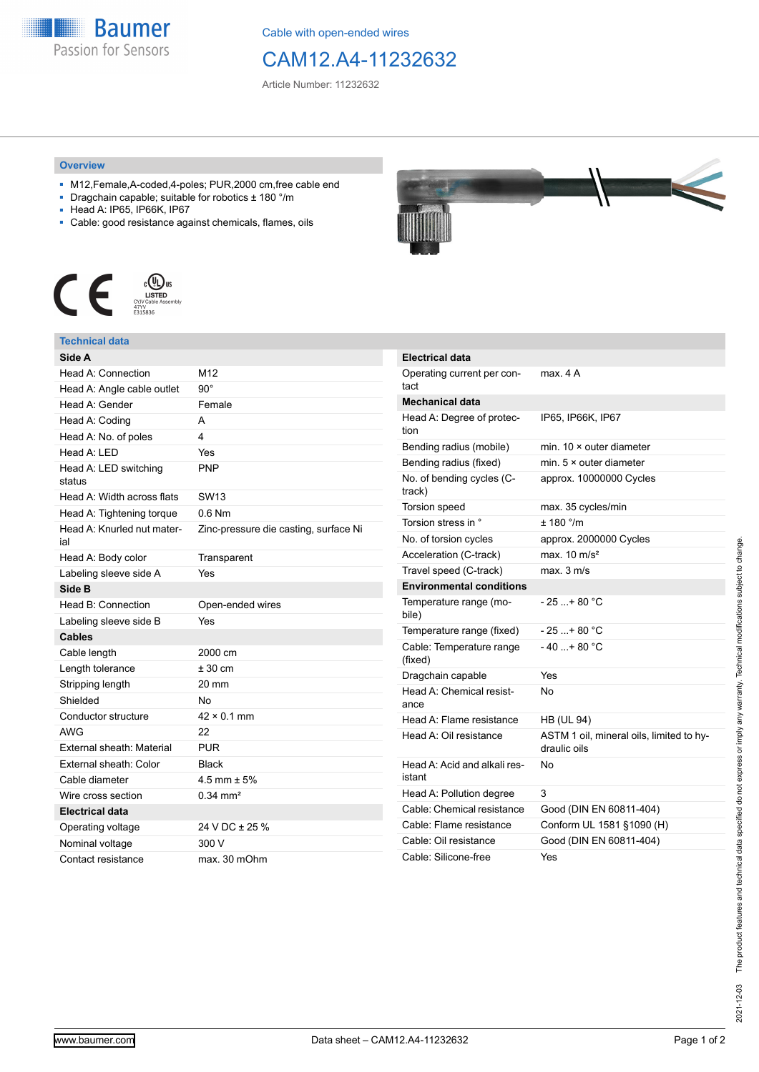

Cable with open-ended wires

## CAM12.A4-11232632

Article Number: 11232632

## **Overview**

- M12,Female,A-coded,4-poles; PUR,2000 cm,free cable end
- Dragchain capable; suitable for robotics ± 180 °/m
- Head A: IP65, IP66K, IP67
- Cable: good resistance against chemicals, flames, oils



## **Technical data**

| Side A                            |                                       |
|-----------------------------------|---------------------------------------|
| Head A: Connection                | M12                                   |
| Head A: Angle cable outlet        | $90^{\circ}$                          |
| Head A: Gender                    | Female                                |
| Head A: Coding                    | A                                     |
| Head A: No. of poles              | 4                                     |
| Head A: LED                       | Yes                                   |
| Head A: LED switching<br>status   | <b>PNP</b>                            |
| Head A: Width across flats        | SW13                                  |
| Head A: Tightening torque         | $0.6$ Nm                              |
| Head A: Knurled nut mater-<br>ial | Zinc-pressure die casting, surface Ni |
| Head A: Body color                | Transparent                           |
| Labeling sleeve side A            | Yes                                   |
| Side B                            |                                       |
| Head B: Connection                | Open-ended wires                      |
| Labeling sleeve side B            | Yes                                   |
| <b>Cables</b>                     |                                       |
| Cable length                      | 2000 cm                               |
| Length tolerance                  | $± 30$ cm                             |
| Stripping length                  | 20 mm                                 |
| Shielded                          | <b>No</b>                             |
| Conductor structure               | $42 \times 0.1$ mm                    |
| <b>AWG</b>                        | 22                                    |
| External sheath: Material         | <b>PUR</b>                            |
| External sheath: Color            | <b>Black</b>                          |
| Cable diameter                    | $4.5$ mm $\pm 5%$                     |
| Wire cross section                | $0.34 \text{ mm}^2$                   |
| <b>Electrical data</b>            |                                       |
| Operating voltage                 | 24 V DC ± 25 %                        |
| Nominal voltage                   | 300 V                                 |
| Contact resistance                | max. 30 mOhm                          |



| <b>Electrical data</b>                 |                                                          |
|----------------------------------------|----------------------------------------------------------|
| Operating current per con-<br>tact     | max. 4 A                                                 |
| <b>Mechanical data</b>                 |                                                          |
| Head A: Degree of protec-<br>tion      | IP65, IP66K, IP67                                        |
| Bending radius (mobile)                | min. $10 \times$ outer diameter                          |
| Bending radius (fixed)                 | min. $5 \times$ outer diameter                           |
| No. of bending cycles (C-<br>track)    | approx. 10000000 Cycles                                  |
| <b>Torsion speed</b>                   | max. 35 cycles/min                                       |
| Torsion stress in °                    | $+ 180$ $^{\circ}$ /m                                    |
| No. of torsion cycles                  | approx. 2000000 Cycles                                   |
| Acceleration (C-track)                 | max. $10 \text{ m/s}^2$                                  |
| Travel speed (C-track)                 | max. 3 m/s                                               |
| <b>Environmental conditions</b>        |                                                          |
| Temperature range (mo-<br>bile)        | - 25 + 80 °C                                             |
| Temperature range (fixed)              | - 25 + 80 °C                                             |
| Cable: Temperature range<br>(fixed)    | $-40+80 °C$                                              |
| Dragchain capable                      | Yes                                                      |
| Head A: Chemical resist-<br>ance       | N٥                                                       |
| Head A: Flame resistance               | <b>HB (UL 94)</b>                                        |
| Head A: Oil resistance                 | ASTM 1 oil, mineral oils, limited to hy-<br>draulic oils |
| Head A: Acid and alkali res-<br>istant | No                                                       |
| Head A: Pollution degree               | 3                                                        |
| Cable: Chemical resistance             | Good (DIN EN 60811-404)                                  |
| Cable: Flame resistance                | Conform UL 1581 §1090 (H)                                |
| Cable: Oil resistance                  | Good (DIN EN 60811-404)                                  |
| Cable: Silicone-free                   | Yes                                                      |